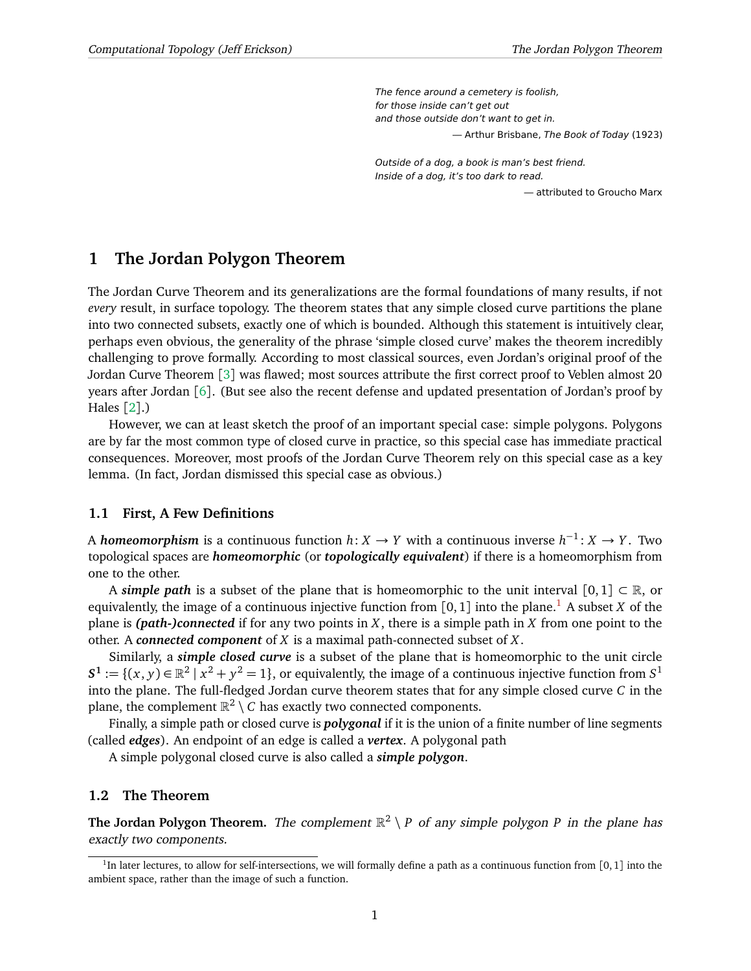The fence around a cemetery is foolish, for those inside can't get out and those outside don't want to get in. — Arthur Brisbane, The Book of Today (1923)

Outside of a dog, a book is man's best friend. Inside of a dog, it's too dark to read.

— attributed to Groucho Marx

## **1 The Jordan Polygon Theorem**

The Jordan Curve Theorem and its generalizations are the formal foundations of many results, if not *every* result, in surface topology. The theorem states that any simple closed curve partitions the plane into two connected subsets, exactly one of which is bounded. Although this statement is intuitively clear, perhaps even obvious, the generality of the phrase 'simple closed curve' makes the theorem incredibly challenging to prove formally. According to most classical sources, even Jordan's original proof of the Jordan Curve Theorem [[3](#page-3-0)] was flawed; most sources attribute the first correct proof to Veblen almost 20 years after Jordan [[6](#page-3-1)]. (But see also the recent defense and updated presentation of Jordan's proof by Hales [[2](#page-3-2)].)

However, we can at least sketch the proof of an important special case: simple polygons. Polygons are by far the most common type of closed curve in practice, so this special case has immediate practical consequences. Moreover, most proofs of the Jordan Curve Theorem rely on this special case as a key lemma. (In fact, Jordan dismissed this special case as obvious.)

### **1.1 First, A Few Definitions**

A *homeomorphism* is a continuous function *h*: *X* → *Y* with a continuous inverse *h* −1 : *X* → *Y* . Two topological spaces are *homeomorphic* (or *topologically equivalent*) if there is a homeomorphism from one to the other.

A *simple path* is a subset of the plane that is homeomorphic to the unit interval  $[0,1] \subset \mathbb{R}$ , or equivalently, the image of a continuous injective function from  $[0, 1]$  $[0, 1]$  $[0, 1]$  into the plane.<sup>1</sup> A subset *X* of the plane is *(path-)connected* if for any two points in *X*, there is a simple path in *X* from one point to the other. A *connected component* of *X* is a maximal path-connected subset of *X*.

Similarly, a *simple closed curve* is a subset of the plane that is homeomorphic to the unit circle  $S^1 := \{(x, y) \in \mathbb{R}^2 \mid x^2 + y^2 = 1\}$ , or equivalently, the image of a continuous injective function from  $S^1$ into the plane. The full-fledged Jordan curve theorem states that for any simple closed curve *C* in the plane, the complement  $\mathbb{R}^2 \setminus C$  has exactly two connected components.

Finally, a simple path or closed curve is *polygonal* if it is the union of a finite number of line segments (called *edges*). An endpoint of an edge is called a *vertex*. A polygonal path

A simple polygonal closed curve is also called a *simple polygon*.

#### **1.2 The Theorem**

**The Jordan Polygon Theorem.** The complement  $\mathbb{R}^2 \setminus P$  of any simple polygon P in the plane has exactly two components.

<span id="page-0-0"></span><sup>&</sup>lt;sup>1</sup>In later lectures, to allow for self-intersections, we will formally define a path as a continuous function from [0,1] into the ambient space, rather than the image of such a function.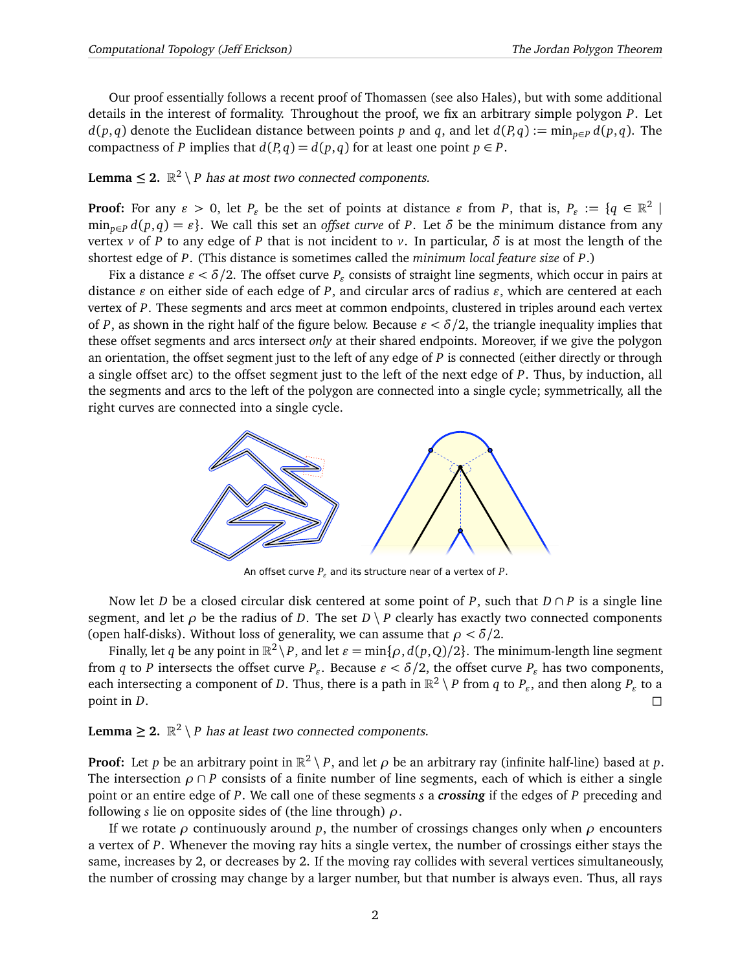Our proof essentially follows a recent proof of Thomassen (see also Hales), but with some additional details in the interest of formality. Throughout the proof, we fix an arbitrary simple polygon *P*. Let *d*(*p*, *q*) denote the Euclidean distance between points *p* and *q*, and let  $d(P,q) := \min_{p \in P} d(p,q)$ . The compactness of *P* implies that  $d(P,q) = d(p,q)$  for at least one point  $p \in P$ .

## **Lemma**  $\leq$  **2.**  $\mathbb{R}^2 \setminus P$  has at most two connected components.

**Proof:** For any  $\varepsilon > 0$ , let  $P_{\varepsilon}$  be the set of points at distance  $\varepsilon$  from  $P$ , that is,  $P_{\varepsilon} := \{q \in \mathbb{R}^2 \mid$  $\min_{p \in P} d(p,q) = \varepsilon$ . We call this set an *offset curve* of *P*. Let *δ* be the minimum distance from any vertex *v* of *P* to any edge of *P* that is not incident to *v*. In particular,  $\delta$  is at most the length of the shortest edge of *P*. (This distance is sometimes called the *minimum local feature size* of *P*.)

Fix a distance  $\varepsilon < \delta/2$ . The offset curve  $P_\varepsilon$  consists of straight line segments, which occur in pairs at distance  $\varepsilon$  on either side of each edge of *P*, and circular arcs of radius  $\varepsilon$ , which are centered at each vertex of *P*. These segments and arcs meet at common endpoints, clustered in triples around each vertex of *P*, as shown in the right half of the figure below. Because  $\varepsilon < \delta/2$ , the triangle inequality implies that these offset segments and arcs intersect *only* at their shared endpoints. Moreover, if we give the polygon an orientation, the offset segment just to the left of any edge of *P* is connected (either directly or through a single offset arc) to the offset segment just to the left of the next edge of *P*. Thus, by induction, all the segments and arcs to the left of the polygon are connected into a single cycle; symmetrically, all the right curves are connected into a single cycle.



An offset curve  $P_{\varepsilon}$  and its structure near of a vertex of P.

Now let *D* be a closed circular disk centered at some point of *P*, such that *D* ∩ *P* is a single line segment, and let  $\rho$  be the radius of *D*. The set  $D \setminus P$  clearly has exactly two connected components (open half-disks). Without loss of generality, we can assume that *ρ < δ/*2.

Finally, let  $q$  be any point in  $\mathbb{R}^2 \setminus P$ , and let  $\varepsilon = \min\{\rho, d(p, Q)/2\}$ . The minimum-length line segment from *q* to *P* intersects the offset curve  $P_{\varepsilon}$ . Because  $\varepsilon < \delta/2$ , the offset curve  $P_{\varepsilon}$  has two components, each intersecting a component of *D*. Thus, there is a path in  $\mathbb{R}^2\setminus P$  from  $q$  to  $P_\varepsilon$ , and then along  $P_\varepsilon$  to a point in *D*.

## **Lemma**  $\geq$  2.  $\mathbb{R}^2 \setminus P$  has at least two connected components.

**Proof:** Let *p* be an arbitrary point in  $\mathbb{R}^2 \setminus P$ , and let  $\rho$  be an arbitrary ray (infinite half-line) based at *p*. The intersection  $\rho \cap P$  consists of a finite number of line segments, each of which is either a single point or an entire edge of *P*. We call one of these segments *s* a *crossing* if the edges of *P* preceding and following *s* lie on opposite sides of (the line through) *ρ*.

If we rotate  $\rho$  continuously around  $p$ , the number of crossings changes only when  $\rho$  encounters a vertex of *P*. Whenever the moving ray hits a single vertex, the number of crossings either stays the same, increases by 2, or decreases by 2. If the moving ray collides with several vertices simultaneously, the number of crossing may change by a larger number, but that number is always even. Thus, all rays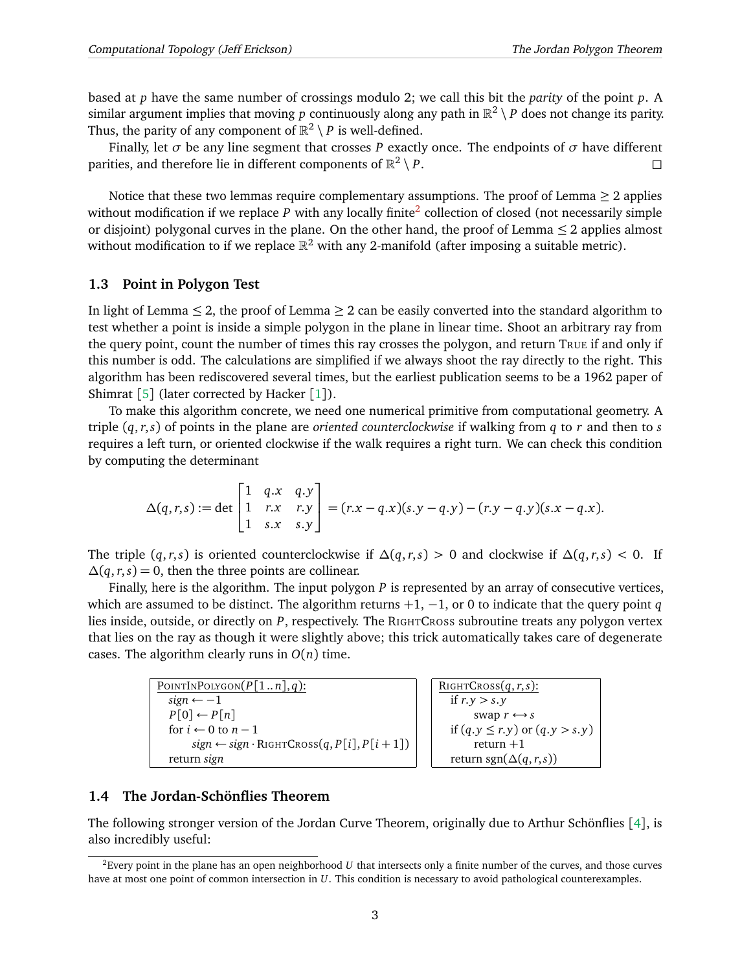based at *p* have the same number of crossings modulo 2; we call this bit the *parity* of the point *p*. A similar argument implies that moving  $p$  continuously along any path in  $\mathbb{R}^2\setminus P$  does not change its parity. Thus, the parity of any component of  $\mathbb{R}^2 \setminus P$  is well-defined.

Finally, let *σ* be any line segment that crosses *P* exactly once. The endpoints of *σ* have different parities, and therefore lie in different components of  $\mathbb{R}^2$  $\setminus P$ .

Notice that these two lemmas require complementary assumptions. The proof of Lemma  $\geq 2$  applies without modification if we replace P with any locally finite<sup>[2](#page-2-0)</sup> collection of closed (not necessarily simple or disjoint) polygonal curves in the plane. On the other hand, the proof of Lemma  $\leq 2$  applies almost without modification to if we replace  $\mathbb{R}^2$  with any 2-manifold (after imposing a suitable metric).

#### **1.3 Point in Polygon Test**

In light of Lemma  $\leq 2$ , the proof of Lemma  $\geq 2$  can be easily converted into the standard algorithm to test whether a point is inside a simple polygon in the plane in linear time. Shoot an arbitrary ray from the query point, count the number of times this ray crosses the polygon, and return TRUE if and only if this number is odd. The calculations are simplified if we always shoot the ray directly to the right. This algorithm has been rediscovered several times, but the earliest publication seems to be a 1962 paper of Shimrat [[5](#page-3-3)] (later corrected by Hacker [[1](#page-3-4)]).

To make this algorithm concrete, we need one numerical primitive from computational geometry. A triple (*q*,*r*,*s*) of points in the plane are *oriented counterclockwise* if walking from *q* to *r* and then to *s* requires a left turn, or oriented clockwise if the walk requires a right turn. We can check this condition by computing the determinant

$$
\Delta(q,r,s) := \det \begin{bmatrix} 1 & q.x & q.y \\ 1 & r.x & r.y \\ 1 & s.x & s.y \end{bmatrix} = (r.x - q.x)(s.y - q.y) - (r.y - q.y)(s.x - q.x).
$$

The triple  $(q, r, s)$  is oriented counterclockwise if  $\Delta(q, r, s) > 0$  and clockwise if  $\Delta(q, r, s) < 0$ . If  $\Delta(q, r, s) = 0$ , then the three points are collinear.

Finally, here is the algorithm. The input polygon *P* is represented by an array of consecutive vertices, which are assumed to be distinct. The algorithm returns +1, −1, or 0 to indicate that the query point *q* lies inside, outside, or directly on *P*, respectively. The RIGHTCROSS subroutine treats any polygon vertex that lies on the ray as though it were slightly above; this trick automatically takes care of degenerate cases. The algorithm clearly runs in  $O(n)$  time.

| POINTINPOLYGON $(P[1n], q)$ :                                   |
|-----------------------------------------------------------------|
| $sign \leftarrow -1$                                            |
| $P[0] \leftarrow P[n]$                                          |
| for $i \leftarrow 0$ to $n-1$                                   |
| $sign \leftarrow sign \cdot \text{RIGHTCross}(q, P[i], P[i+1])$ |
| return sign                                                     |

```
RIGHTCROSS(q,r,s):
if r. y > s. y
      swap r \leftrightarrow sif (q, y \le r, y) or (q, y > s, y)return +1return sgn(\Delta(q,r,s))
```
### **1.4 The Jordan-Schönflies Theorem**

The following stronger version of the Jordan Curve Theorem, originally due to Arthur Schönflies [[4](#page-3-5)], is also incredibly useful:

<span id="page-2-0"></span><sup>2</sup>Every point in the plane has an open neighborhood *U* that intersects only a finite number of the curves, and those curves have at most one point of common intersection in *U*. This condition is necessary to avoid pathological counterexamples.